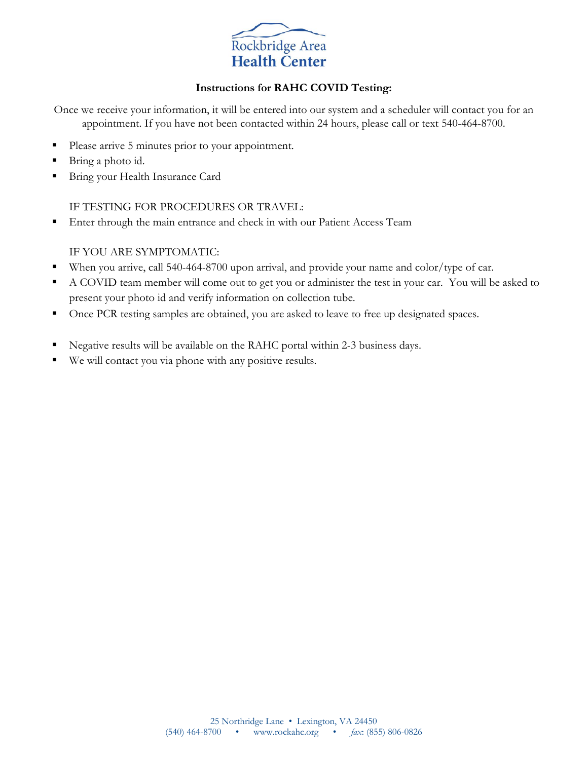

### **Instructions for RAHC COVID Testing:**

Once we receive your information, it will be entered into our system and a scheduler will contact you for an appointment. If you have not been contacted within 24 hours, please call or text 540-464-8700.

- Please arrive 5 minutes prior to your appointment.
- Bring a photo id.
- Bring your Health Insurance Card

IF TESTING FOR PROCEDURES OR TRAVEL:

**Enter through the main entrance and check in with our Patient Access Team** 

### IF YOU ARE SYMPTOMATIC:

- When you arrive, call 540-464-8700 upon arrival, and provide your name and color/type of car.
- A COVID team member will come out to get you or administer the test in your car. You will be asked to present your photo id and verify information on collection tube.
- Once PCR testing samples are obtained, you are asked to leave to free up designated spaces.
- Negative results will be available on the RAHC portal within 2-3 business days.
- We will contact you via phone with any positive results.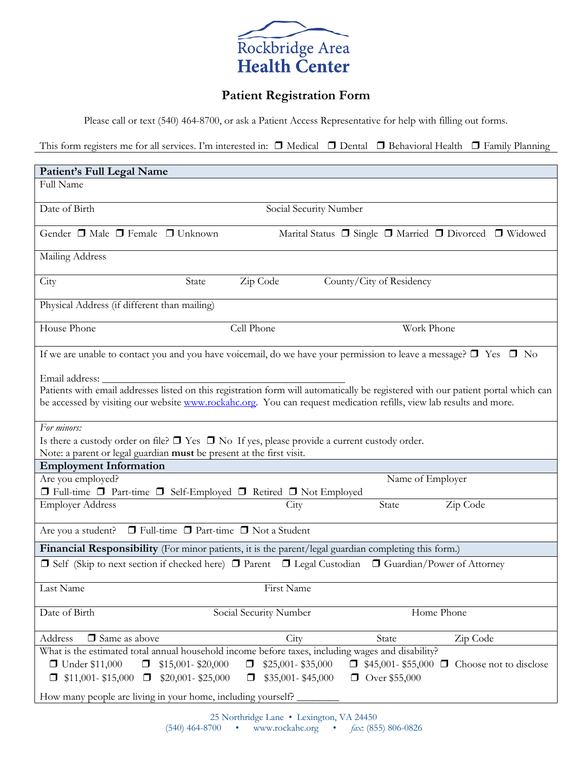

# **Patient Registration Form**

Please call or text (540) 464-8700, or ask a Patient Access Representative for help with filling out forms.

This form registers me for all services. I'm interested in: ❒ Medical ❒ Dental ❒ Behavioral Health ❒ Family Planning

| Patient's Full Legal Name                                                                                                                                                                                                                                                            |                             |                          |                                                                            |
|--------------------------------------------------------------------------------------------------------------------------------------------------------------------------------------------------------------------------------------------------------------------------------------|-----------------------------|--------------------------|----------------------------------------------------------------------------|
| Full Name                                                                                                                                                                                                                                                                            |                             |                          |                                                                            |
| Date of Birth                                                                                                                                                                                                                                                                        | Social Security Number      |                          |                                                                            |
| Gender □ Male □ Female □ Unknown                                                                                                                                                                                                                                                     |                             |                          | Marital Status $\Box$ Single $\Box$ Married $\Box$ Divorced $\Box$ Widowed |
| Mailing Address                                                                                                                                                                                                                                                                      |                             |                          |                                                                            |
| City<br>State                                                                                                                                                                                                                                                                        | Zip Code                    | County/City of Residency |                                                                            |
| Physical Address (if different than mailing)                                                                                                                                                                                                                                         |                             |                          |                                                                            |
| House Phone                                                                                                                                                                                                                                                                          | Cell Phone                  | Work Phone               |                                                                            |
| If we are unable to contact you and you have voicemail, do we have your permission to leave a message? $\Box$ Yes $\Box$ No                                                                                                                                                          |                             |                          |                                                                            |
| Email address: _<br>Patients with email addresses listed on this registration form will automatically be registered with our patient portal which can<br>be accessed by visiting our website <b>www.rockahc.org</b> . You can request medication refills, view lab results and more. |                             |                          |                                                                            |
| For minors:                                                                                                                                                                                                                                                                          |                             |                          |                                                                            |
| Is there a custody order on file? $\Box$ Yes $\Box$ No If yes, please provide a current custody order.<br>Note: a parent or legal guardian must be present at the first visit.                                                                                                       |                             |                          |                                                                            |
| <b>Employment Information</b>                                                                                                                                                                                                                                                        |                             |                          |                                                                            |
| Are you employed?                                                                                                                                                                                                                                                                    |                             | Name of Employer         |                                                                            |
| □ Full-time □ Part-time □ Self-Employed □ Retired □ Not Employed                                                                                                                                                                                                                     |                             |                          |                                                                            |
| <b>Employer Address</b>                                                                                                                                                                                                                                                              | City                        | State                    | Zip Code                                                                   |
| $\Box$ Full-time $\Box$ Part-time $\Box$ Not a Student<br>Are you a student?                                                                                                                                                                                                         |                             |                          |                                                                            |
| Financial Responsibility (For minor patients, it is the parent/legal guardian completing this form.)                                                                                                                                                                                 |                             |                          |                                                                            |
| □ Self (Skip to next section if checked here) □ Parent □ Legal Custodian □ Guardian/Power of Attorney                                                                                                                                                                                |                             |                          |                                                                            |
| Last Name                                                                                                                                                                                                                                                                            | First Name                  |                          |                                                                            |
| Date of Birth                                                                                                                                                                                                                                                                        | Social Security Number      |                          | Home Phone                                                                 |
| $\Box$ Same as above<br>Address                                                                                                                                                                                                                                                      | City                        | State                    | Zip Code                                                                   |
| What is the estimated total annual household income before taxes, including wages and disability?                                                                                                                                                                                    |                             |                          |                                                                            |
| $\Box$ Under \$11,000<br>$\Box$<br>$$15,001 - $20,000$                                                                                                                                                                                                                               | \$25,001-\$35,000<br>□      |                          | $\Box$ \$45,001-\$55,000 $\Box$ Choose not to disclose                     |
| $$11,001 - $15,000$ $\Box$ \$20,001-\$25,000                                                                                                                                                                                                                                         | \$35,001-\$45,000<br>$\Box$ | □ Over \$55,000          |                                                                            |
| How many people are living in your home, including yourself?                                                                                                                                                                                                                         |                             |                          |                                                                            |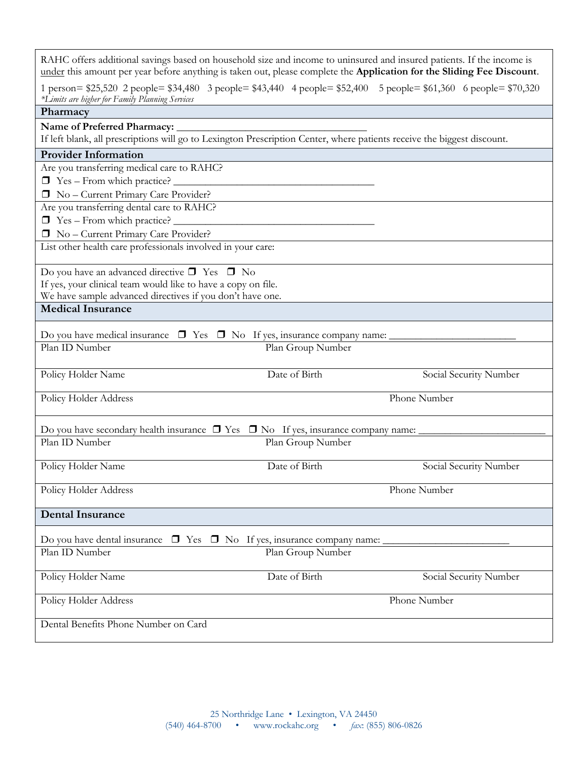| RAHC offers additional savings based on household size and income to uninsured and insured patients. If the income is                                                |                   |                        |
|----------------------------------------------------------------------------------------------------------------------------------------------------------------------|-------------------|------------------------|
| under this amount per year before anything is taken out, please complete the Application for the Sliding Fee Discount.                                               |                   |                        |
| 1 person= \$25,520 2 people= \$34,480 3 people= \$43,440 4 people= \$52,400 5 people= \$61,360 6 people= \$70,320<br>*Limits are higher for Family Planning Services |                   |                        |
| Pharmacy                                                                                                                                                             |                   |                        |
|                                                                                                                                                                      |                   |                        |
| <b>Provider Information</b>                                                                                                                                          |                   |                        |
| Are you transferring medical care to RAHC?                                                                                                                           |                   |                        |
| $\Box$ Yes – From which practice? $\Box$                                                                                                                             |                   |                        |
| No - Current Primary Care Provider?                                                                                                                                  |                   |                        |
| Are you transferring dental care to RAHC?                                                                                                                            |                   |                        |
| $\Box$ Yes – From which practice? $\_\_$                                                                                                                             |                   |                        |
| No - Current Primary Care Provider?                                                                                                                                  |                   |                        |
| List other health care professionals involved in your care:                                                                                                          |                   |                        |
| Do you have an advanced directive $\square$ Yes $\square$ No                                                                                                         |                   |                        |
| If yes, your clinical team would like to have a copy on file.                                                                                                        |                   |                        |
| We have sample advanced directives if you don't have one.                                                                                                            |                   |                        |
| <b>Medical Insurance</b>                                                                                                                                             |                   |                        |
| Do you have medical insurance $\Box$ Yes $\Box$ No If yes, insurance company name:                                                                                   |                   |                        |
| Plan ID Number                                                                                                                                                       | Plan Group Number |                        |
| Policy Holder Name                                                                                                                                                   | Date of Birth     | Social Security Number |
| Policy Holder Address                                                                                                                                                |                   | Phone Number           |
| Do you have secondary health insurance $\Box$ Yes $\Box$ No If yes, insurance company name:                                                                          |                   |                        |
| Plan ID Number                                                                                                                                                       | Plan Group Number |                        |
| Policy Holder Name                                                                                                                                                   | Date of Birth     | Social Security Number |
| Policy Holder Address                                                                                                                                                |                   | Phone Number           |
| <b>Dental Insurance</b>                                                                                                                                              |                   |                        |
| Do you have dental insurance $\Box$ Yes $\Box$ No If yes, insurance company name:                                                                                    |                   |                        |
| Plan ID Number                                                                                                                                                       | Plan Group Number |                        |
| Policy Holder Name                                                                                                                                                   | Date of Birth     | Social Security Number |
| Policy Holder Address                                                                                                                                                |                   | Phone Number           |
|                                                                                                                                                                      |                   |                        |
| Dental Benefits Phone Number on Card                                                                                                                                 |                   |                        |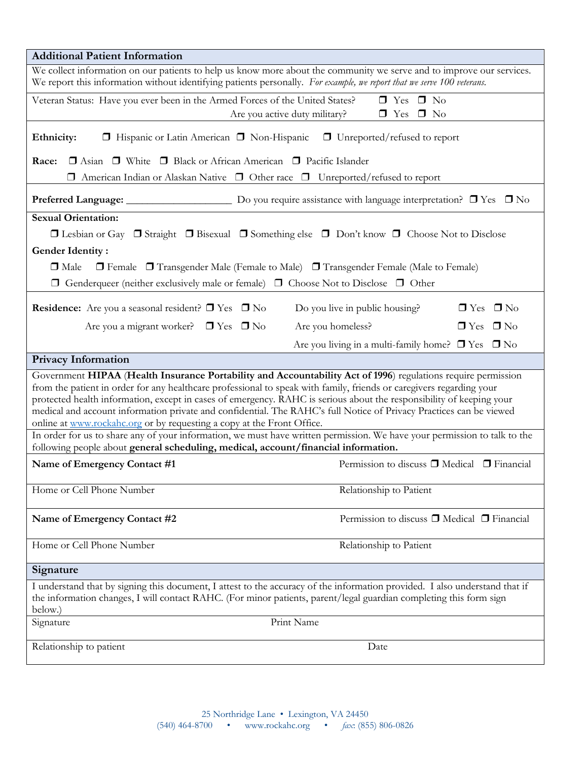| <b>Additional Patient Information</b>                                                                                                                                                                                                                                                                                                                                                                                                                                                                                                                          |  |  |  |
|----------------------------------------------------------------------------------------------------------------------------------------------------------------------------------------------------------------------------------------------------------------------------------------------------------------------------------------------------------------------------------------------------------------------------------------------------------------------------------------------------------------------------------------------------------------|--|--|--|
| We collect information on our patients to help us know more about the community we serve and to improve our services.<br>We report this information without identifying patients personally. For example, we report that we serve 100 veterans.                                                                                                                                                                                                                                                                                                                |  |  |  |
| Veteran Status: Have you ever been in the Armed Forces of the United States?<br>$\Box$ Yes $\Box$ No<br>$\Box$ Yes $\Box$ No<br>Are you active duty military?                                                                                                                                                                                                                                                                                                                                                                                                  |  |  |  |
| Ethnicity:<br>$\Box$ Hispanic or Latin American $\Box$ Non-Hispanic $\Box$ Unreported/refused to report                                                                                                                                                                                                                                                                                                                                                                                                                                                        |  |  |  |
| □ Asian □ White □ Black or African American □ Pacific Islander<br>Race:                                                                                                                                                                                                                                                                                                                                                                                                                                                                                        |  |  |  |
| $\Box$ American Indian or Alaskan Native $\Box$ Other race $\Box$ Unreported/refused to report                                                                                                                                                                                                                                                                                                                                                                                                                                                                 |  |  |  |
|                                                                                                                                                                                                                                                                                                                                                                                                                                                                                                                                                                |  |  |  |
| <b>Sexual Orientation:</b>                                                                                                                                                                                                                                                                                                                                                                                                                                                                                                                                     |  |  |  |
| $\Box$ Lesbian or Gay $\Box$ Straight $\Box$ Bisexual $\Box$ Something else $\Box$ Don't know $\Box$ Choose Not to Disclose                                                                                                                                                                                                                                                                                                                                                                                                                                    |  |  |  |
| <b>Gender Identity:</b>                                                                                                                                                                                                                                                                                                                                                                                                                                                                                                                                        |  |  |  |
| $\Box$ Female $\Box$ Transgender Male (Female to Male) $\Box$ Transgender Female (Male to Female)<br>$\Box$ Male                                                                                                                                                                                                                                                                                                                                                                                                                                               |  |  |  |
| $\Box$ Genderqueer (neither exclusively male or female) $\Box$ Choose Not to Disclose $\Box$ Other                                                                                                                                                                                                                                                                                                                                                                                                                                                             |  |  |  |
| <b>Residence:</b> Are you a seasonal resident? $\Box$ Yes $\Box$ No<br>Do you live in public housing?<br>$\Box$ Yes $\Box$ No                                                                                                                                                                                                                                                                                                                                                                                                                                  |  |  |  |
| Are you a migrant worker? $\Box$ Yes $\Box$ No<br>$\Box$ Yes $\Box$ No<br>Are you homeless?                                                                                                                                                                                                                                                                                                                                                                                                                                                                    |  |  |  |
| Are you living in a multi-family home? $\Box$ Yes $\Box$ No                                                                                                                                                                                                                                                                                                                                                                                                                                                                                                    |  |  |  |
| <b>Privacy Information</b>                                                                                                                                                                                                                                                                                                                                                                                                                                                                                                                                     |  |  |  |
| Government HIPAA (Health Insurance Portability and Accountability Act of 1996) regulations require permission<br>from the patient in order for any healthcare professional to speak with family, friends or caregivers regarding your<br>protected health information, except in cases of emergency. RAHC is serious about the responsibility of keeping your<br>medical and account information private and confidential. The RAHC's full Notice of Privacy Practices can be viewed<br>online at www.rockahc.org or by requesting a copy at the Front Office. |  |  |  |
| In order for us to share any of your information, we must have written permission. We have your permission to talk to the<br>following people about general scheduling, medical, account/financial information.                                                                                                                                                                                                                                                                                                                                                |  |  |  |
| Permission to discuss □ Medical □ Financial<br>Name of Emergency Contact #1                                                                                                                                                                                                                                                                                                                                                                                                                                                                                    |  |  |  |
| Home or Cell Phone Number<br>Relationship to Patient                                                                                                                                                                                                                                                                                                                                                                                                                                                                                                           |  |  |  |
| Permission to discuss $\Box$ Medical $\Box$ Financial<br>Name of Emergency Contact #2                                                                                                                                                                                                                                                                                                                                                                                                                                                                          |  |  |  |
| Home or Cell Phone Number<br>Relationship to Patient                                                                                                                                                                                                                                                                                                                                                                                                                                                                                                           |  |  |  |
| Signature                                                                                                                                                                                                                                                                                                                                                                                                                                                                                                                                                      |  |  |  |
| I understand that by signing this document, I attest to the accuracy of the information provided. I also understand that if<br>the information changes, I will contact RAHC. (For minor patients, parent/legal guardian completing this form sign<br>below.)                                                                                                                                                                                                                                                                                                   |  |  |  |
| Print Name<br>Signature                                                                                                                                                                                                                                                                                                                                                                                                                                                                                                                                        |  |  |  |
| Relationship to patient<br>Date                                                                                                                                                                                                                                                                                                                                                                                                                                                                                                                                |  |  |  |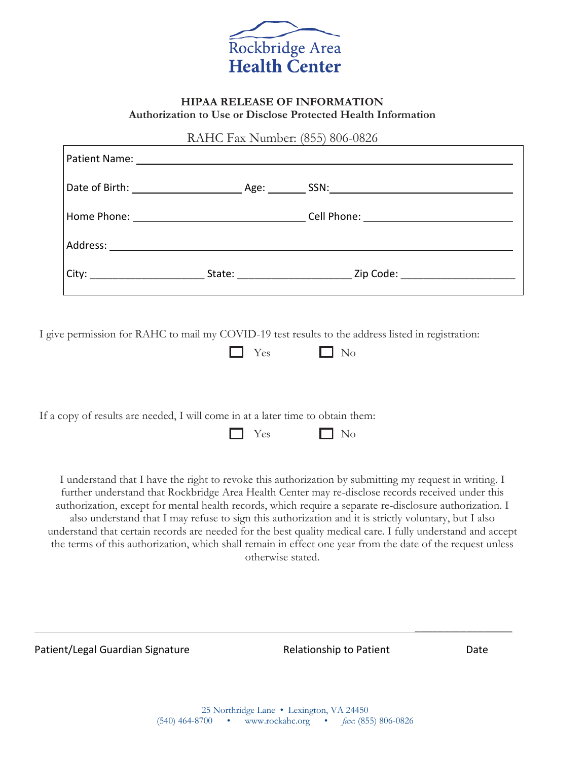

#### **HIPAA RELEASE OF INFORMATION Authorization to Use or Disclose Protected Health Information**

RAHC Fax Number: (855) 806-0826

| State: when the state of the state of the state of the state of the state of the state of the state of the state of the state of the state of the state of the state of the state of the state of the state of the state of th | <b>Zip Code: Example 2 Example 2 Example 2 Example 2</b> |
|--------------------------------------------------------------------------------------------------------------------------------------------------------------------------------------------------------------------------------|----------------------------------------------------------|

I give permission for RAHC to mail my COVID-19 test results to the address listed in registration:

|  | - |  | ◡ |
|--|---|--|---|
|--|---|--|---|

If a copy of results are needed, I will come in at a later time to obtain them:

|  | - 55<br>$-$ |  |  |
|--|-------------|--|--|
|--|-------------|--|--|

I understand that I have the right to revoke this authorization by submitting my request in writing. I further understand that Rockbridge Area Health Center may re-disclose records received under this authorization, except for mental health records, which require a separate re-disclosure authorization. I also understand that I may refuse to sign this authorization and it is strictly voluntary, but I also understand that certain records are needed for the best quality medical care. I fully understand and accept the terms of this authorization, which shall remain in effect one year from the date of the request unless otherwise stated.

Patient/Legal Guardian Signature **Relationship to Patient** Alleman Date

 $\mathcal{L}_\text{max}$  , we have the set of  $\mathcal{L}_\text{max}$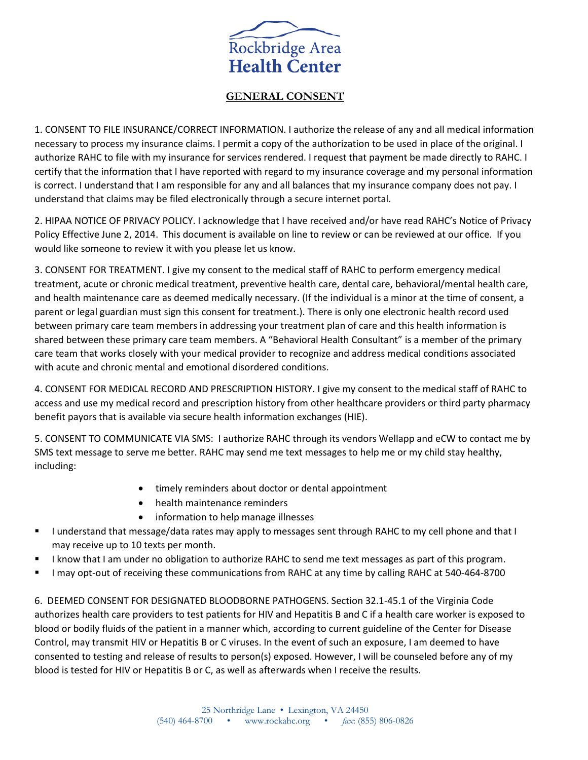

#### **GENERAL CONSENT**

1. CONSENT TO FILE INSURANCE/CORRECT INFORMATION. I authorize the release of any and all medical information necessary to process my insurance claims. I permit a copy of the authorization to be used in place of the original. I authorize RAHC to file with my insurance for services rendered. I request that payment be made directly to RAHC. I certify that the information that I have reported with regard to my insurance coverage and my personal information is correct. I understand that I am responsible for any and all balances that my insurance company does not pay. I understand that claims may be filed electronically through a secure internet portal.

2. HIPAA NOTICE OF PRIVACY POLICY. I acknowledge that I have received and/or have read RAHC's Notice of Privacy Policy Effective June 2, 2014. This document is available on line to review or can be reviewed at our office. If you would like someone to review it with you please let us know.

3. CONSENT FOR TREATMENT. I give my consent to the medical staff of RAHC to perform emergency medical treatment, acute or chronic medical treatment, preventive health care, dental care, behavioral/mental health care, and health maintenance care as deemed medically necessary. (If the individual is a minor at the time of consent, a parent or legal guardian must sign this consent for treatment.). There is only one electronic health record used between primary care team members in addressing your treatment plan of care and this health information is shared between these primary care team members. A "Behavioral Health Consultant" is a member of the primary care team that works closely with your medical provider to recognize and address medical conditions associated with acute and chronic mental and emotional disordered conditions.

4. CONSENT FOR MEDICAL RECORD AND PRESCRIPTION HISTORY. I give my consent to the medical staff of RAHC to access and use my medical record and prescription history from other healthcare providers or third party pharmacy benefit payors that is available via secure health information exchanges (HIE).

5. CONSENT TO COMMUNICATE VIA SMS: I authorize RAHC through its vendors Wellapp and eCW to contact me by SMS text message to serve me better. RAHC may send me text messages to help me or my child stay healthy, including:

- timely reminders about doctor or dental appointment
- health maintenance reminders
- information to help manage illnesses
- I understand that message/data rates may apply to messages sent through RAHC to my cell phone and that I may receive up to 10 texts per month.
- I know that I am under no obligation to authorize RAHC to send me text messages as part of this program.
- I may opt-out of receiving these communications from RAHC at any time by calling RAHC at 540-464-8700

6. DEEMED CONSENT FOR DESIGNATED BLOODBORNE PATHOGENS. Section 32.1-45.1 of the Virginia Code authorizes health care providers to test patients for HIV and Hepatitis B and C if a health care worker is exposed to blood or bodily fluids of the patient in a manner which, according to current guideline of the Center for Disease Control, may transmit HIV or Hepatitis B or C viruses. In the event of such an exposure, I am deemed to have consented to testing and release of results to person(s) exposed. However, I will be counseled before any of my blood is tested for HIV or Hepatitis B or C, as well as afterwards when I receive the results.